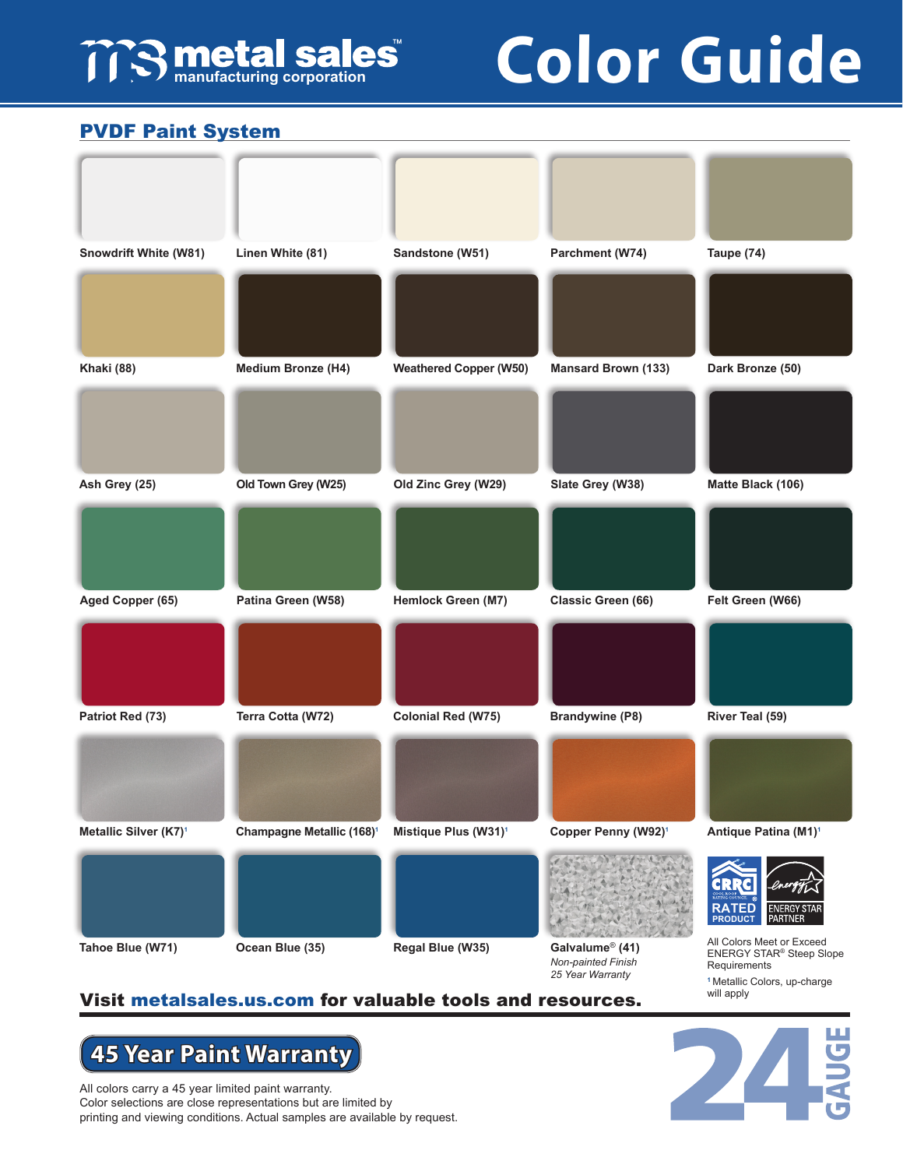## **TTS metal sales**

# **Color Guide**

#### **metalsales.us.com** PVDF Paint System



#### Visit metalsales.us.com for valuable tools and resources.

### **45 Year Paint Warranty**

All colors carry a 45 year limited paint warranty. Color selections are close representations but are limited by printing and viewing conditions. Actual samples are available by request.



will apply